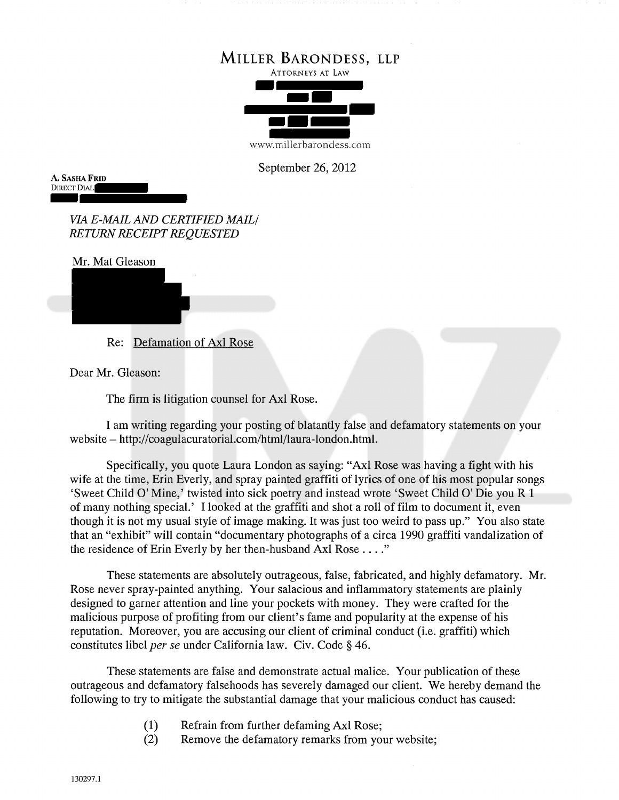

September 26, 2012

A. SASHA FRID DIRECT DIAL:

> VIA E-MAIL AND CERTIFIED MAIL/ RETURN RECEIPT REQUESTED

Mr. Mat Gleason

Re: Defamation of Axi Rose

Dear Mr. Gleason:

The firm is litigation counsel for Axl Rose.

I am writing regarding your posting of blatantly false and defamatory statements on your website — http://coagulacuratorial.com/html/laura-london.html.

Specifically, you quote Laura London as saying: "Axl Rose was having a fight with his wife at the time, Erin Everly, and spray painted graffiti of lyrics of one of his most popular songs 'Sweet Child 0' Mine,' twisted into sick poetry and instead wrote 'Sweet Child 0' Die you R <sup>1</sup> of many nothing special.' I looked at the graffiti and shot a roll of film to document it, even though it is not my usual style of image making. It was just too weird to pass up." You also state that an "exhibit" will contain "documentary photographs of a circa 1990 graffiti vandalization of the residence of Erin Everly by her then-husband Axl Rose. . .

These statements are absolutely outrageous, false, fabricated, and highly defamatory. Mr. Rose never spray-painted anything. Your salacious and inflammatory statements are plainly designed to garner attention and line your pockets with money. They were crafted for the malicious purpose of profiting from our client's fame and popularity at the expense of his reputation. Moreover, you are accusing our client of criminal conduct (i.e. graffiti) which constitutes libel per se under California law. Civ. Code § 46.

These statements are false and demonstrate actual malice. Your publication of these outrageous and defamatory falsehoods has severely damaged our client. We hereby demand the following to try to mitigate the substantial damage that your malicious conduct has caused:

- (1) Refrain from further defaming Axi Rose;
- (2) Remove the defamatory remarks from your website;